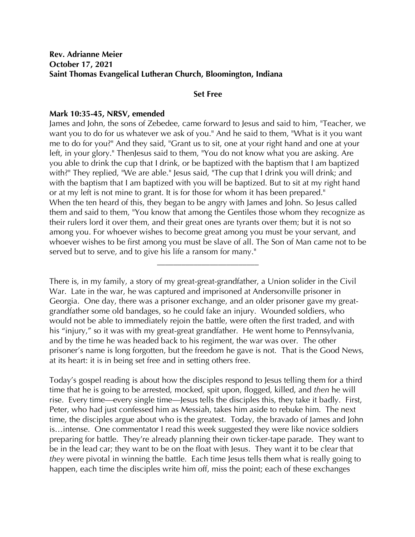## **Set Free**

## **Mark 10:35-45, NRSV, emended**

James and John, the sons of Zebedee, came forward to Jesus and said to him, "Teacher, we want you to do for us whatever we ask of you." And he said to them, "What is it you want me to do for you?" And they said, "Grant us to sit, one at your right hand and one at your left, in your glory." ThenJesus said to them, "You do not know what you are asking. Are you able to drink the cup that I drink, or be baptized with the baptism that I am baptized with?" They replied, "We are able." Jesus said, "The cup that I drink you will drink; and with the baptism that I am baptized with you will be baptized. But to sit at my right hand or at my left is not mine to grant. It is for those for whom it has been prepared." When the ten heard of this, they began to be angry with James and John. So Jesus called them and said to them, "You know that among the Gentiles those whom they recognize as their rulers lord it over them, and their great ones are tyrants over them; but it is not so among you. For whoever wishes to become great among you must be your servant, and whoever wishes to be first among you must be slave of all. The Son of Man came not to be served but to serve, and to give his life a ransom for many."

There is, in my family, a story of my great-great-grandfather, a Union solider in the Civil War. Late in the war, he was captured and imprisoned at Andersonville prisoner in Georgia. One day, there was a prisoner exchange, and an older prisoner gave my greatgrandfather some old bandages, so he could fake an injury. Wounded soldiers, who would not be able to immediately rejoin the battle, were often the first traded, and with his "injury," so it was with my great-great grandfather. He went home to Pennsylvania, and by the time he was headed back to his regiment, the war was over. The other prisoner's name is long forgotten, but the freedom he gave is not. That is the Good News, at its heart: it is in being set free and in setting others free.

**\_\_\_\_\_\_\_\_\_\_\_\_\_\_\_\_\_\_\_\_\_\_\_\_\_**

Today's gospel reading is about how the disciples respond to Jesus telling them for a third time that he is going to be arrested, mocked, spit upon, flogged, killed, and *then* he will rise. Every time—every single time—Jesus tells the disciples this, they take it badly. First, Peter, who had just confessed him as Messiah, takes him aside to rebuke him. The next time, the disciples argue about who is the greatest. Today, the bravado of James and John is…intense. One commentator I read this week suggested they were like novice soldiers preparing for battle. They're already planning their own ticker-tape parade. They want to be in the lead car; they want to be on the float with Jesus. They want it to be clear that *they* were pivotal in winning the battle. Each time Jesus tells them what is really going to happen, each time the disciples write him off, miss the point; each of these exchanges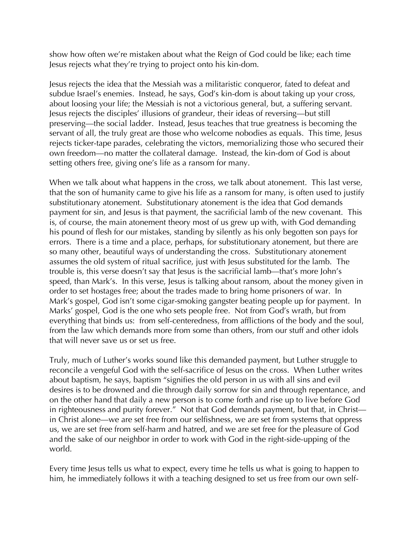show how often we're mistaken about what the Reign of God could be like; each time Jesus rejects what they're trying to project onto his kin-dom.

Jesus rejects the idea that the Messiah was a militaristic conqueror, fated to defeat and subdue Israel's enemies. Instead, he says, God's kin-dom is about taking up your cross, about loosing your life; the Messiah is not a victorious general, but, a suffering servant. Jesus rejects the disciples' illusions of grandeur, their ideas of reversing—but still preserving—the social ladder. Instead, Jesus teaches that true greatness is becoming the servant of all, the truly great are those who welcome nobodies as equals. This time, Jesus rejects ticker-tape parades, celebrating the victors, memorializing those who secured their own freedom—no matter the collateral damage. Instead, the kin-dom of God is about setting others free, giving one's life as a ransom for many.

When we talk about what happens in the cross, we talk about atonement. This last verse, that the son of humanity came to give his life as a ransom for many, is often used to justify substitutionary atonement. Substitutionary atonement is the idea that God demands payment for sin, and Jesus is that payment, the sacrificial lamb of the new covenant. This is, of course, the main atonement theory most of us grew up with, with God demanding his pound of flesh for our mistakes, standing by silently as his only begotten son pays for errors. There is a time and a place, perhaps, for substitutionary atonement, but there are so many other, beautiful ways of understanding the cross. Substitutionary atonement assumes the old system of ritual sacrifice, just with Jesus substituted for the lamb. The trouble is, this verse doesn't say that Jesus is the sacrificial lamb—that's more John's speed, than Mark's. In this verse, Jesus is talking about ransom, about the money given in order to set hostages free; about the trades made to bring home prisoners of war. In Mark's gospel, God isn't some cigar-smoking gangster beating people up for payment. In Marks' gospel, God is the one who sets people free. Not from God's wrath, but from everything that binds us: from self-centeredness, from afflictions of the body and the soul, from the law which demands more from some than others, from our stuff and other idols that will never save us or set us free.

Truly, much of Luther's works sound like this demanded payment, but Luther struggle to reconcile a vengeful God with the self-sacrifice of Jesus on the cross. When Luther writes about baptism, he says, baptism "signifies the old person in us with all sins and evil desires is to be drowned and die through daily sorrow for sin and through repentance, and on the other hand that daily a new person is to come forth and rise up to live before God in righteousness and purity forever." Not that God demands payment, but that, in Christ in Christ alone—we are set free from our selfishness, we are set from systems that oppress us, we are set free from self-harm and hatred, and we are set free for the pleasure of God and the sake of our neighbor in order to work with God in the right-side-upping of the world.

Every time Jesus tells us what to expect, every time he tells us what is going to happen to him, he immediately follows it with a teaching designed to set us free from our own self